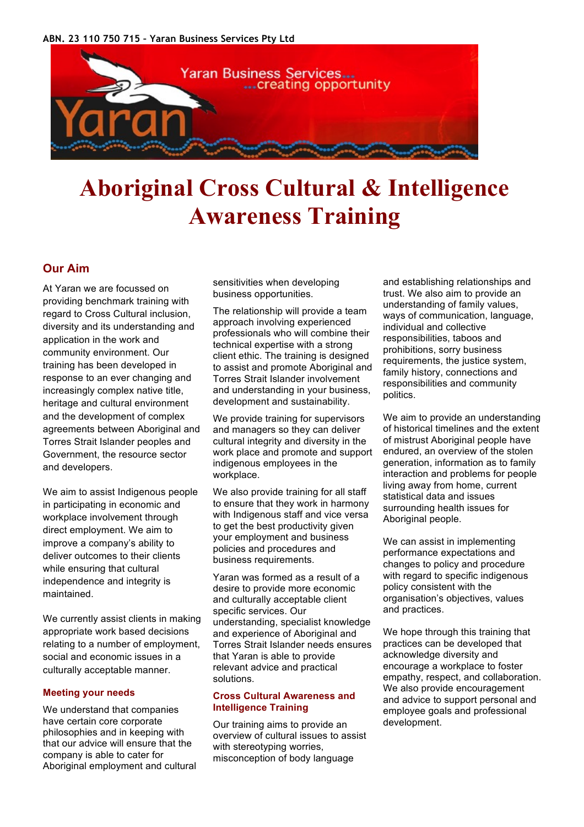

# **Aboriginal Cross Cultural & Intelligence Awareness Training**

# **Our Aim**

At Yaran we are focussed on providing benchmark training with regard to Cross Cultural inclusion, diversity and its understanding and application in the work and community environment. Our training has been developed in response to an ever changing and increasingly complex native title, heritage and cultural environment and the development of complex agreements between Aboriginal and Torres Strait Islander peoples and Government, the resource sector and developers.

We aim to assist Indigenous people in participating in economic and workplace involvement through direct employment. We aim to improve a company's ability to deliver outcomes to their clients while ensuring that cultural independence and integrity is maintained.

We currently assist clients in making appropriate work based decisions relating to a number of employment, social and economic issues in a culturally acceptable manner.

# **Meeting your needs**

We understand that companies have certain core corporate philosophies and in keeping with that our advice will ensure that the company is able to cater for Aboriginal employment and cultural sensitivities when developing business opportunities.

The relationship will provide a team approach involving experienced professionals who will combine their technical expertise with a strong client ethic. The training is designed to assist and promote Aboriginal and Torres Strait Islander involvement and understanding in your business, development and sustainability.

We provide training for supervisors and managers so they can deliver cultural integrity and diversity in the work place and promote and support indigenous employees in the workplace.

We also provide training for all staff to ensure that they work in harmony with Indigenous staff and vice versa to get the best productivity given your employment and business policies and procedures and business requirements.

Yaran was formed as a result of a desire to provide more economic and culturally acceptable client specific services. Our understanding, specialist knowledge and experience of Aboriginal and Torres Strait Islander needs ensures that Yaran is able to provide relevant advice and practical solutions.

## **Cross Cultural Awareness and Intelligence Training**

Our training aims to provide an overview of cultural issues to assist with stereotyping worries, misconception of body language

and establishing relationships and trust. We also aim to provide an understanding of family values, ways of communication, language, individual and collective responsibilities, taboos and prohibitions, sorry business requirements, the justice system, family history, connections and responsibilities and community politics.

We aim to provide an understanding of historical timelines and the extent of mistrust Aboriginal people have endured, an overview of the stolen generation, information as to family interaction and problems for people living away from home, current statistical data and issues surrounding health issues for Aboriginal people.

We can assist in implementing performance expectations and changes to policy and procedure with regard to specific indigenous policy consistent with the organisation's objectives, values and practices.

We hope through this training that practices can be developed that acknowledge diversity and encourage a workplace to foster empathy, respect, and collaboration. We also provide encouragement and advice to support personal and employee goals and professional development.